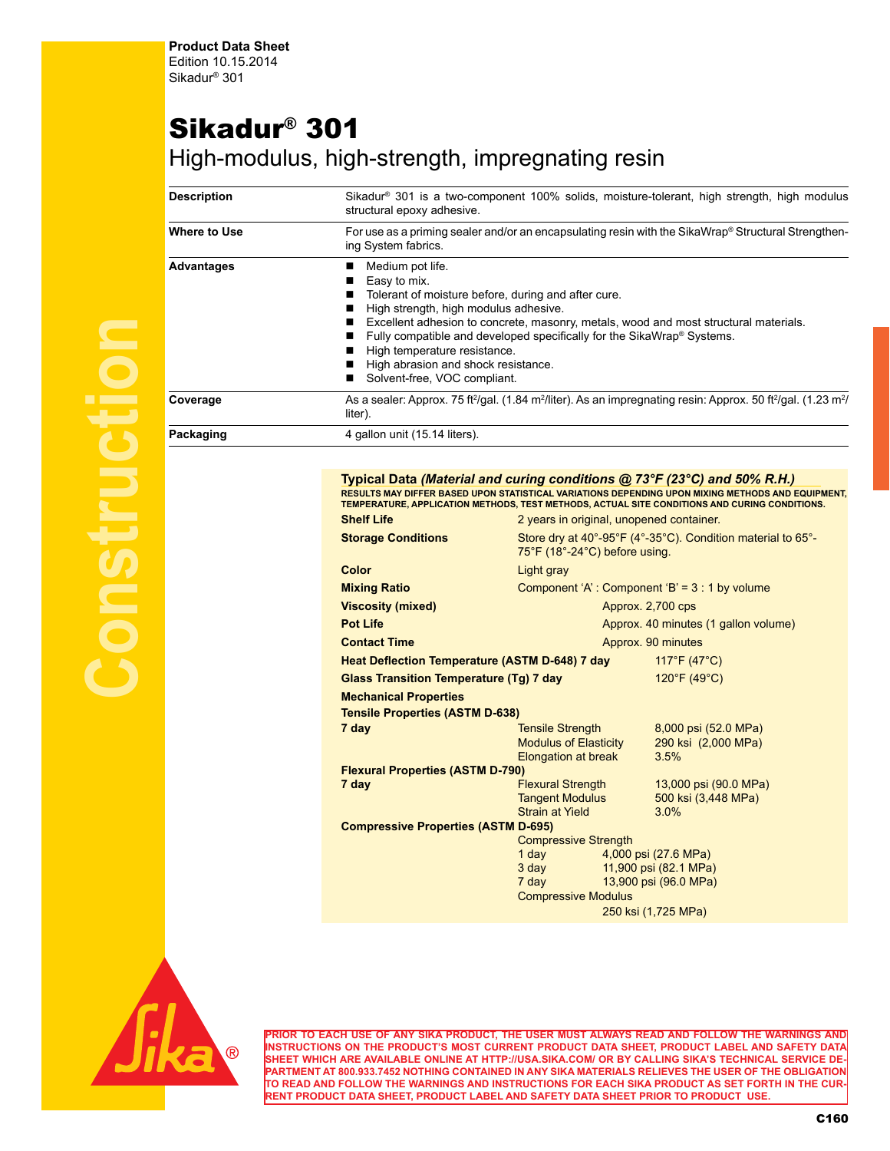## Sikadur® 301

## High-modulus, high-strength, impregnating resin

| <b>Description</b> | Sikadur <sup>®</sup> 301 is a two-component 100% solids, moisture-tolerant, high strength, high modulus<br>structural epoxy adhesive.                                                                                                                                                                                                                                                                                                                                                                                                   |  |  |  |
|--------------------|-----------------------------------------------------------------------------------------------------------------------------------------------------------------------------------------------------------------------------------------------------------------------------------------------------------------------------------------------------------------------------------------------------------------------------------------------------------------------------------------------------------------------------------------|--|--|--|
| Where to Use       | For use as a priming sealer and/or an encapsulating resin with the SikaWrap® Structural Strengthen-<br>ing System fabrics.<br>Medium pot life.<br>Easy to mix.<br>Tolerant of moisture before, during and after cure.<br>High strength, high modulus adhesive.<br>Excellent adhesion to concrete, masonry, metals, wood and most structural materials.<br>Fully compatible and developed specifically for the SikaWrap® Systems.<br>High temperature resistance.<br>High abrasion and shock resistance.<br>Solvent-free, VOC compliant. |  |  |  |
| <b>Advantages</b>  |                                                                                                                                                                                                                                                                                                                                                                                                                                                                                                                                         |  |  |  |
| Coverage           | As a sealer: Approx. 75 ft <sup>2</sup> /gal. (1.84 m <sup>2</sup> /liter). As an impregnating resin: Approx. 50 ft <sup>2</sup> /gal. (1.23 m <sup>2</sup> /<br>liter).                                                                                                                                                                                                                                                                                                                                                                |  |  |  |
| Packaging          | 4 gallon unit (15.14 liters).                                                                                                                                                                                                                                                                                                                                                                                                                                                                                                           |  |  |  |

## **Typical Data** *(Material and curing conditions @ 73°F (23°C) and 50% R.H.)* RESULTS MAY DIFFER BASED UPON STATISTICAL VARIATIONS DEPENDING UPON MIXING METHODS AND EQUIPMENT,<br>TEMPERATURE, APPLICATION METHODS, TEST METHODS, ACTUAL SITE CONDITIONS AND CURING CONDITIONS.

|                                                |                                                                                                                           |                                                | <u>TEMPERATURE, APPLICATION METHODS, TEST METHODS, ACTUAL SITE CONDITIONS AND CURING CONDITIONS.</u> |  |
|------------------------------------------------|---------------------------------------------------------------------------------------------------------------------------|------------------------------------------------|------------------------------------------------------------------------------------------------------|--|
| <b>Shelf Life</b>                              | 2 years in original, unopened container.                                                                                  |                                                |                                                                                                      |  |
| <b>Storage Conditions</b>                      | Store dry at 40°-95°F (4°-35°C). Condition material to 65°-<br>75°F (18°-24°C) before using.                              |                                                |                                                                                                      |  |
| Color                                          | Light gray                                                                                                                |                                                |                                                                                                      |  |
| <b>Mixing Ratio</b>                            | Component 'A': Component 'B' = $3:1$ by volume                                                                            |                                                |                                                                                                      |  |
| <b>Viscosity (mixed)</b>                       | Approx. 2,700 cps                                                                                                         |                                                |                                                                                                      |  |
| <b>Pot Life</b>                                | Approx. 40 minutes (1 gallon volume)                                                                                      |                                                |                                                                                                      |  |
| <b>Contact Time</b>                            | Approx. 90 minutes                                                                                                        |                                                |                                                                                                      |  |
| Heat Deflection Temperature (ASTM D-648) 7 day |                                                                                                                           |                                                | $117^{\circ}F(47^{\circ}C)$                                                                          |  |
| <b>Glass Transition Temperature (Tg) 7 day</b> |                                                                                                                           |                                                | 120°F (49°C)                                                                                         |  |
| <b>Mechanical Properties</b>                   |                                                                                                                           |                                                |                                                                                                      |  |
| <b>Tensile Properties (ASTM D-638)</b>         |                                                                                                                           |                                                |                                                                                                      |  |
| 7 day                                          | <b>Tensile Strength</b>                                                                                                   |                                                | 8,000 psi (52.0 MPa)                                                                                 |  |
|                                                | <b>Modulus of Elasticity</b>                                                                                              |                                                | 290 ksi (2,000 MPa)                                                                                  |  |
| <b>Flexural Properties (ASTM D-790)</b>        | <b>Elongation at break</b>                                                                                                |                                                | 3.5%                                                                                                 |  |
| 7 day                                          | <b>Flexural Strength</b>                                                                                                  |                                                | 13,000 psi (90.0 MPa)                                                                                |  |
|                                                | <b>Tangent Modulus</b>                                                                                                    |                                                | 500 ksi (3,448 MPa)                                                                                  |  |
|                                                | <b>Strain at Yield</b>                                                                                                    |                                                | 3.0%                                                                                                 |  |
| <b>Compressive Properties (ASTM D-695)</b>     |                                                                                                                           |                                                |                                                                                                      |  |
| <b>Compressive Strength</b>                    |                                                                                                                           |                                                |                                                                                                      |  |
|                                                | 1 day and the state of the state of the state of the state of the state of the state of the state of the state<br>$3$ day |                                                | 4,000 psi (27.6 MPa)                                                                                 |  |
|                                                | 7 day                                                                                                                     | 11,900 psi (82.1 MPa)<br>13,900 psi (96.0 MPa) |                                                                                                      |  |
|                                                | <b>Compressive Modulus</b>                                                                                                |                                                |                                                                                                      |  |
| 250 ksi (1,725 MPa)                            |                                                                                                                           |                                                |                                                                                                      |  |
|                                                |                                                                                                                           |                                                |                                                                                                      |  |



**PRIOR TO EACH USE OF ANY SIKA PRODUCT, THE USER MUST ALWAYS READ AND FOLLOW THE WARNINGS AND INSTRUCTIONS ON THE PRODUCT'S MOST CURRENT PRODUCT DATA SHEET, PRODUCT LABEL AND SAFETY DATA SHEET WHICH ARE AVAILABLE ONLINE AT HTTP://USA.SIKA.COM/ OR BY CALLING SIKA'S TECHNICAL SERVICE DE-PARTMENT AT 800.933.7452 NOTHING CONTAINED IN ANY SIKA MATERIALS RELIEVES THE USER OF THE OBLIGATION TO READ AND FOLLOW THE WARNINGS AND INSTRUCTIONS FOR EACH SIKA PRODUCT AS SET FORTH IN THE CUR-RENT PRODUCT DATA SHEET, PRODUCT LABEL AND SAFETY DATA SHEET PRIOR TO PRODUCT USE.**